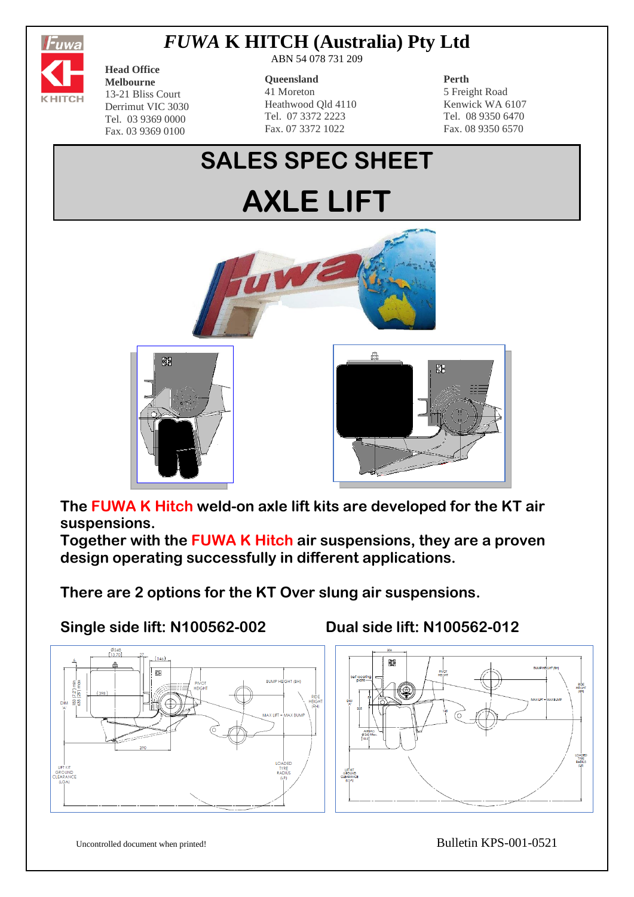

## *FUWA* **K HITCH (Australia) Pty Ltd**

**Head Office Melbourne** 13-21 Bliss Court Derrimut VIC 3030 Tel. 03 9369 0000 Fax. 03 9369 0100

ABN 54 078 731 209

#### **Queensland**

41 Moreton Heathwood Qld 4110 Tel. 07 3372 2223 Fax. 07 3372 1022

#### **Perth**

5 Freight Road Kenwick WA 6107 Tel. 08 9350 6470 Fax. 08 9350 6570

# **SALES SPEC SHEET AXLE LIFT**







**The FUWA K Hitch weld-on axle lift kits are developed for the KT air suspensions.**

**Together with the FUWA K Hitch air suspensions, they are a proven design operating successfully in different applications.**

**There are 2 options for the KT Over slung air suspensions.**

**Single side lift: N100562-002 Dual side lift: N100562-012**





Uncontrolled document when printed! Bulletin KPS-001-0521